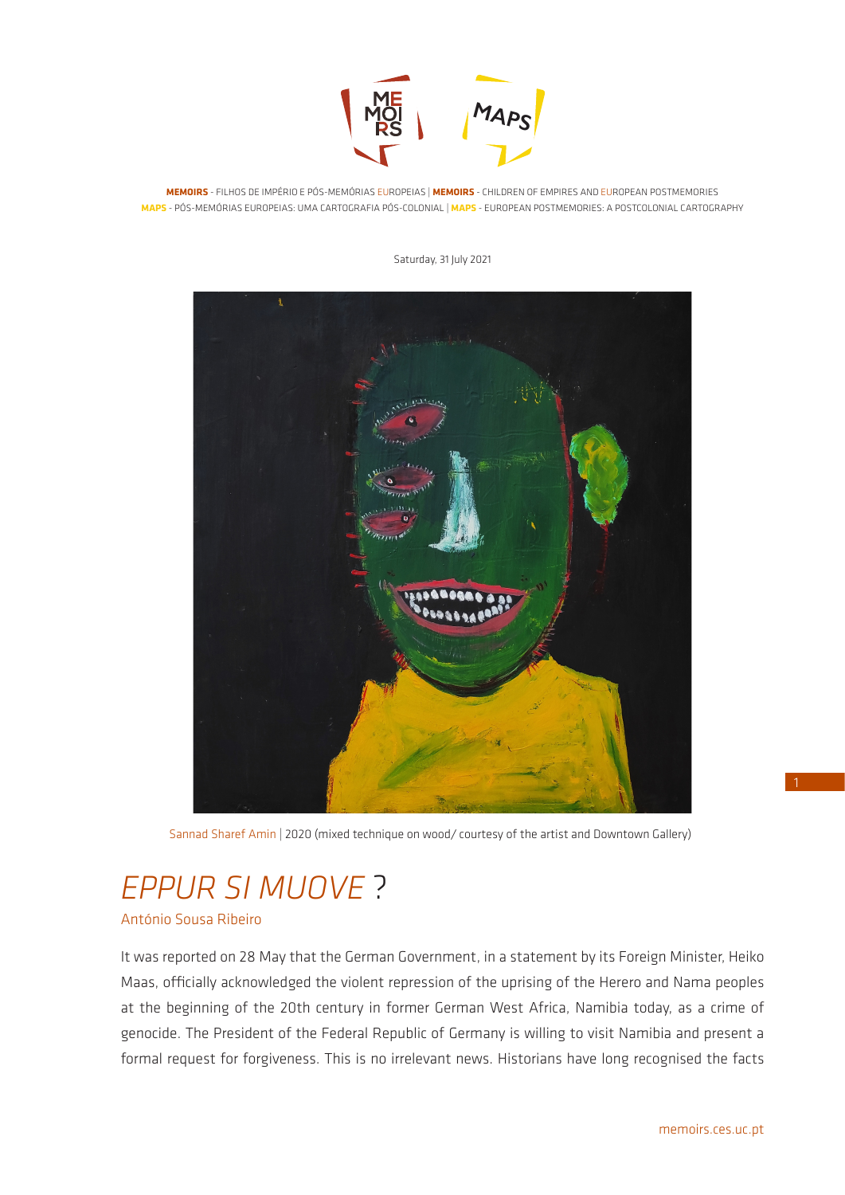

**MEMOIRS** - FILHOS DE IMPÉRIO E PÓS-MEMÓRIAS EUROPEIAS | **MEMOIRS** - CHILDREN OF EMPIRES AND EUROPEAN POSTMEMORIES **MAPS** - PÓS-MEMÓRIAS EUROPEIAS: UMA CARTOGRAFIA PÓS-COLONIAL | **MAPS** - EUROPEAN POSTMEMORIES: A POSTCOLONIAL CARTOGRAPHY

Saturday, 31 July 2021

Sannad Sharef Amin | 2020 (mixed technique on wood*/* courtesy of the artist and Downtown Gallery)

# *EPPUR SI MUOVE* ?

António Sousa Ribeiro

It was reported on 28 May that the German Government, in a statement by its Foreign Minister, Heiko Maas, officially acknowledged the violent repression of the uprising of the Herero and Nama peoples at the beginning of the 20th century in former German West Africa, Namibia today, as a crime of genocide. The President of the Federal Republic of Germany is willing to visit Namibia and present a formal request for forgiveness. This is no irrelevant news. Historians have long recognised the facts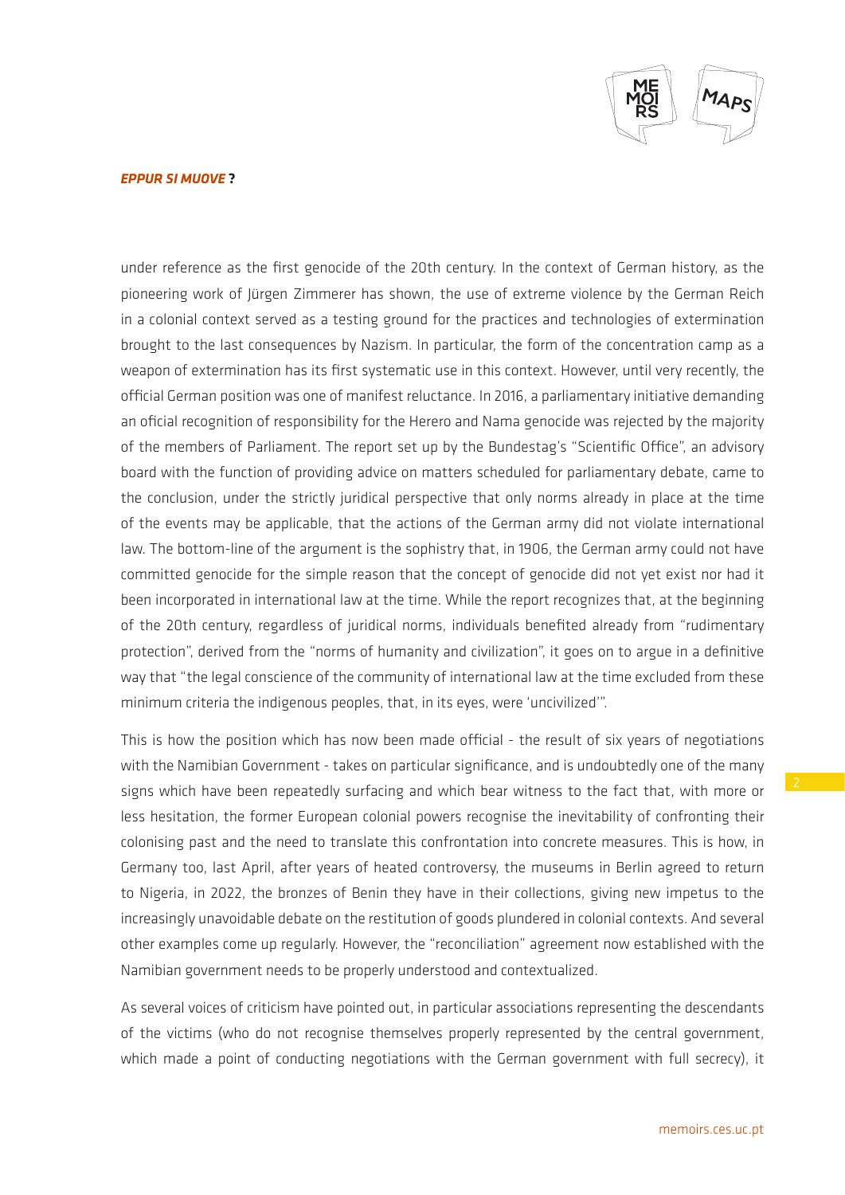

## *EPPUR SI MUOVE* **?**

under reference as the first genocide of the 20th century. In the context of German history, as the pioneering work of Jürgen Zimmerer has shown, the use of extreme violence by the German Reich in a colonial context served as a testing ground for the practices and technologies of extermination brought to the last consequences by Nazism. In particular, the form of the concentration camp as a weapon of extermination has its first systematic use in this context. However, until very recently, the official German position was one of manifest reluctance. In 2016, a parliamentary initiative demanding an oficial recognition of responsibility for the Herero and Nama genocide was rejected by the majority of the members of Parliament. The report set up by the Bundestag's "Scientific Office", an advisory board with the function of providing advice on matters scheduled for parliamentary debate, came to the conclusion, under the strictly juridical perspective that only norms already in place at the time of the events may be applicable, that the actions of the German army did not violate international law. The bottom-line of the argument is the sophistry that, in 1906, the German army could not have committed genocide for the simple reason that the concept of genocide did not yet exist nor had it been incorporated in international law at the time. While the report recognizes that, at the beginning of the 20th century, regardless of juridical norms, individuals benefited already from "rudimentary protection", derived from the "norms of humanity and civilization", it goes on to argue in a definitive way that "the legal conscience of the community of international law at the time excluded from these minimum criteria the indigenous peoples, that, in its eyes, were 'uncivilized'".

This is how the position which has now been made official - the result of six years of negotiations with the Namibian Government - takes on particular significance, and is undoubtedly one of the many signs which have been repeatedly surfacing and which bear witness to the fact that, with more or less hesitation, the former European colonial powers recognise the inevitability of confronting their colonising past and the need to translate this confrontation into concrete measures. This is how, in Germany too, last April, after years of heated controversy, the museums in Berlin agreed to return to Nigeria, in 2022, the bronzes of Benin they have in their collections, giving new impetus to the increasingly unavoidable debate on the restitution of goods plundered in colonial contexts. And several other examples come up regularly. However, the "reconciliation" agreement now established with the Namibian government needs to be properly understood and contextualized.

As several voices of criticism have pointed out, in particular associations representing the descendants of the victims (who do not recognise themselves properly represented by the central government, which made a point of conducting negotiations with the German government with full secrecy), it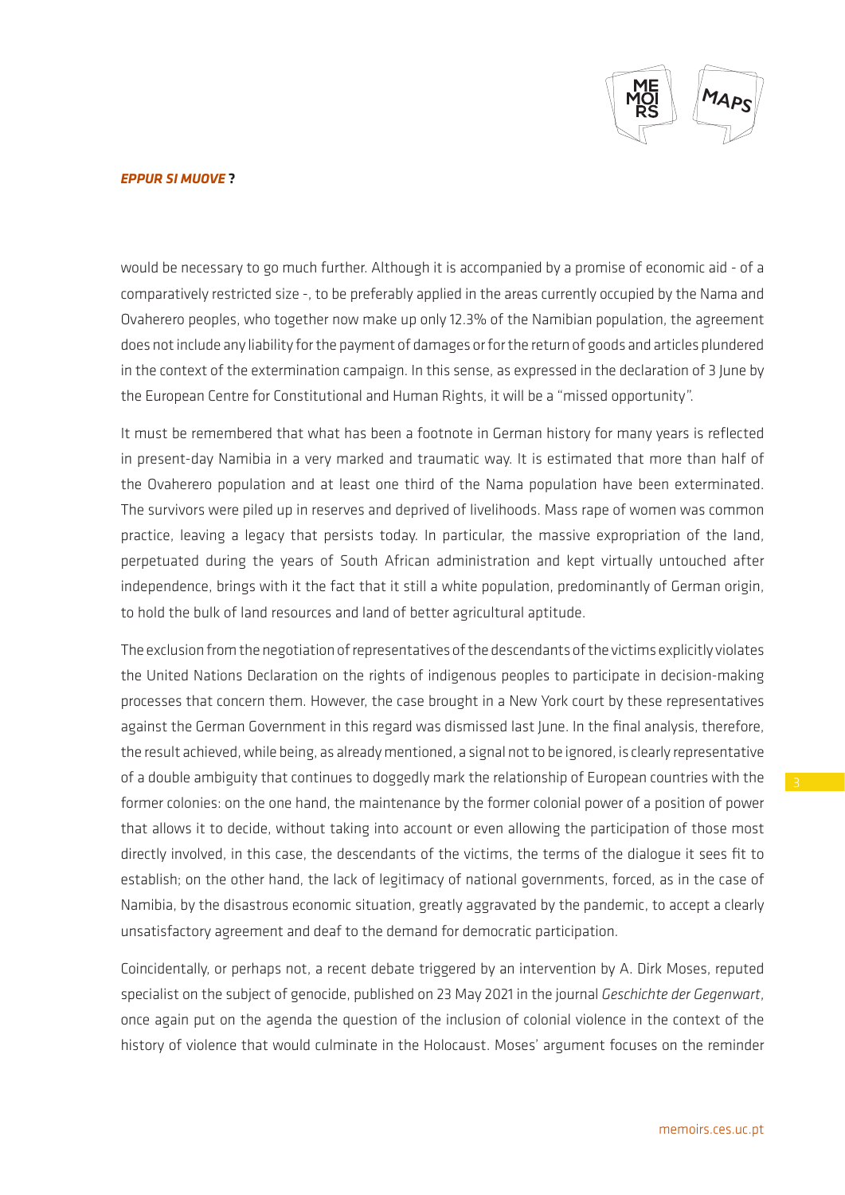

### *EPPUR SI MUOVE* **?**

would be necessary to go much further. Although it is accompanied by a promise of economic aid - of a comparatively restricted size -, to be preferably applied in the areas currently occupied by the Nama and Ovaherero peoples, who together now make up only 12.3% of the Namibian population, the agreement does not include any liability for the payment of damages or for the return of goods and articles plundered in the context of the extermination campaign. In this sense, as expressed in the declaration of 3 June by the European Centre for Constitutional and Human Rights, it will be a "missed opportunity".

It must be remembered that what has been a footnote in German history for many years is reflected in present-day Namibia in a very marked and traumatic way. It is estimated that more than half of the Ovaherero population and at least one third of the Nama population have been exterminated. The survivors were piled up in reserves and deprived of livelihoods. Mass rape of women was common practice, leaving a legacy that persists today. In particular, the massive expropriation of the land, perpetuated during the years of South African administration and kept virtually untouched after independence, brings with it the fact that it still a white population, predominantly of German origin, to hold the bulk of land resources and land of better agricultural aptitude.

The exclusion from the negotiation of representatives of the descendants of the victims explicitly violates the United Nations Declaration on the rights of indigenous peoples to participate in decision-making processes that concern them. However, the case brought in a New York court by these representatives against the German Government in this regard was dismissed last June. In the final analysis, therefore, the result achieved, while being, as already mentioned, a signal not to be ignored, is clearly representative of a double ambiguity that continues to doggedly mark the relationship of European countries with the former colonies: on the one hand, the maintenance by the former colonial power of a position of power that allows it to decide, without taking into account or even allowing the participation of those most directly involved, in this case, the descendants of the victims, the terms of the dialogue it sees fit to establish; on the other hand, the lack of legitimacy of national governments, forced, as in the case of Namibia, by the disastrous economic situation, greatly aggravated by the pandemic, to accept a clearly unsatisfactory agreement and deaf to the demand for democratic participation.

Coincidentally, or perhaps not, a recent debate triggered by an intervention by A. Dirk Moses, reputed specialist on the subject of genocide, published on 23 May 2021 in the journal *Geschichte der Gegenwart*, once again put on the agenda the question of the inclusion of colonial violence in the context of the history of violence that would culminate in the Holocaust. Moses' argument focuses on the reminder